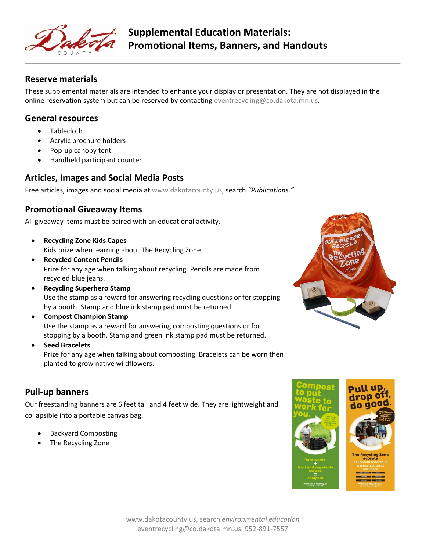

#### **Reserve materials**

These supplemental materials are intended to enhance your display or presentation. They are not displayed in the online reservation system but can be reserved by contacting [eventrecycling@co.dakota.mn.us.](mailto:eventrecycling@co.dakota.mn.us)

### **General resources**

- Tablecloth
- Acrylic brochure holders
- Pop-up canopy tent
- Handheld participant counter

### **Articles, Images and Social Media Posts**

Free articles, images and social media at [www.dakotacounty.us,](http://www.dakotacounty.us/) search *"Publications."*

## **Promotional Giveaway Items**

All giveaway items must be paired with an educational activity.

- **Recycling Zone Kids Capes**  Kids prize when learning about The Recycling Zone.
- **Recycled Content Pencils**  Prize for any age when talking about recycling. Pencils are made from recycled blue jeans.
- **Recycling Superhero Stamp** Use the stamp as a reward for answering recycling questions or for stopping by a booth. Stamp and blue ink stamp pad must be returned.
- **Compost Champion Stamp** Use the stamp as a reward for answering composting questions or for stopping by a booth. Stamp and green ink stamp pad must be returned.
- **Seed Bracelets**

Prize for any age when talking about composting. Bracelets can be worn then planted to grow native wildflowers.

# **Pull-up banners**

Our freestanding banners are 6 feet tall and 4 feet wide. They are lightweight and collapsible into a portable canvas bag.

- Backyard Composting
- The Recycling Zone



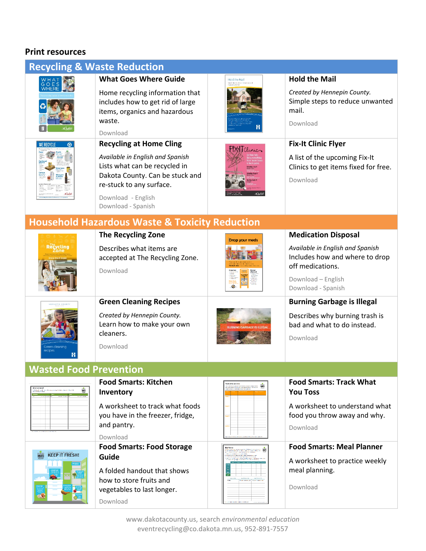# **Print resources**

| <b>Recycling &amp; Waste Reduction</b>                    |                                                                             |                         |                                                                                        |  |  |
|-----------------------------------------------------------|-----------------------------------------------------------------------------|-------------------------|----------------------------------------------------------------------------------------|--|--|
|                                                           | <b>What Goes Where Guide</b><br>Home recycling information that             | Hold the Mail           | <b>Hold the Mail</b><br>Created by Hennepin County.                                    |  |  |
|                                                           | includes how to get rid of large<br>items, organics and hazardous<br>waste. |                         | Simple steps to reduce unwanted<br>mail.<br>Download                                   |  |  |
|                                                           | Download                                                                    |                         |                                                                                        |  |  |
| <b>WE RECYCLE</b>                                         | <b>Recycling at Home Cling</b>                                              | $\mathsf{FLX}$ Tclinics | <b>Fix-It Clinic Flyer</b>                                                             |  |  |
|                                                           | Available in English and Spanish<br>Lists what can be recycled in           |                         | A list of the upcoming Fix-It<br>Clinics to get items fixed for free.                  |  |  |
|                                                           | Dakota County. Can be stuck and<br>re-stuck to any surface.                 |                         | Download                                                                               |  |  |
|                                                           | Download - English                                                          |                         |                                                                                        |  |  |
|                                                           | Download - Spanish                                                          |                         |                                                                                        |  |  |
| <b>Household Hazardous Waste &amp; Toxicity Reduction</b> |                                                                             |                         |                                                                                        |  |  |
|                                                           | <b>The Recycling Zone</b>                                                   | <b>Drop your meds</b>   | <b>Medication Disposal</b>                                                             |  |  |
| Rečvcling                                                 | Describes what items are<br>accepted at The Recycling Zone.<br>Download     |                         | Available in English and Spanish<br>Includes how and where to drop<br>off medications. |  |  |
|                                                           |                                                                             |                         | Download - English<br>Download - Spanish                                               |  |  |
|                                                           | <b>Green Cleaning Recipes</b>                                               |                         | <b>Burning Garbage is Illegal</b>                                                      |  |  |
|                                                           | Created by Hennepin County.<br>Learn how to make your own                   |                         | Describes why burning trash is<br>bad and what to do instead.                          |  |  |
|                                                           | cleaners.                                                                   |                         | Download                                                                               |  |  |
|                                                           | Download                                                                    |                         |                                                                                        |  |  |
| <b>Wasted Food Prevention</b>                             |                                                                             |                         |                                                                                        |  |  |
| .<br>Andrewing Maria and Artists                          | <b>Food Smarts: Kitchen</b><br>Inventory                                    |                         | <b>Food Smarts: Track What</b><br><b>You Toss</b>                                      |  |  |
|                                                           | A worksheet to track what foods                                             |                         | A worksheet to understand what                                                         |  |  |
|                                                           | you have in the freezer, fridge,<br>and pantry.                             |                         | food you throw away and why.<br>Download                                               |  |  |
|                                                           | Download                                                                    |                         |                                                                                        |  |  |
| <b>FOOD</b><br><b>KEEP IT FRESH!</b>                      | <b>Food Smarts: Food Storage</b><br>Guide                                   |                         | <b>Food Smarts: Meal Planner</b>                                                       |  |  |
|                                                           | A folded handout that shows                                                 |                         | A worksheet to practice weekly<br>meal planning.                                       |  |  |
|                                                           | how to store fruits and                                                     |                         | Download                                                                               |  |  |
|                                                           | vegetables to last longer.<br>Download                                      |                         |                                                                                        |  |  |

www.dakotacounty.us, search *environmental education* [eventrecycling@co.dakota.mn.us,](mailto:eventrecycling@co.dakota.mn.us) 952-891-7557